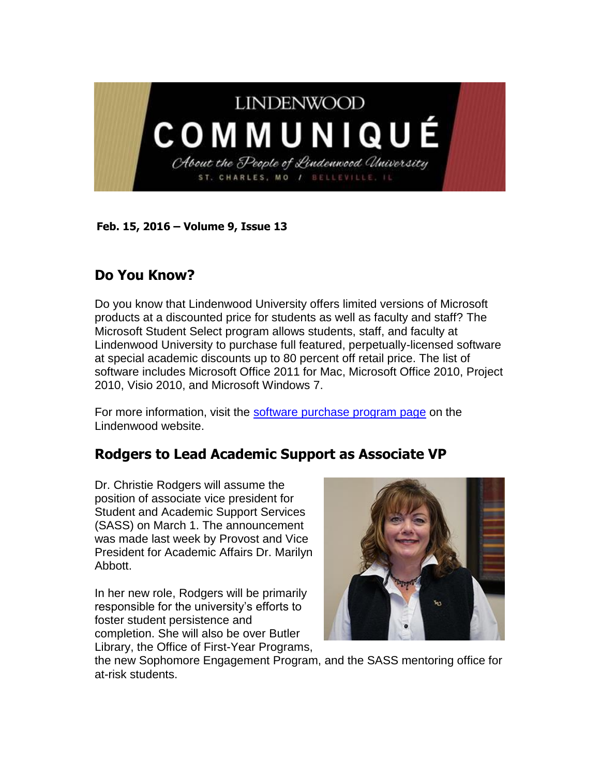

**Feb. 15, 2016 – Volume 9, Issue 13** 

## **Do You Know?**

Do you know that Lindenwood University offers limited versions of Microsoft products at a discounted price for students as well as faculty and staff? The Microsoft Student Select program allows students, staff, and faculty at Lindenwood University to purchase full featured, perpetually-licensed software at special academic discounts up to 80 percent off retail price. The list of software includes Microsoft Office 2011 for Mac, Microsoft Office 2010, Project 2010, Visio 2010, and Microsoft Windows 7.

For more information, visit the [software purchase program page](http://www.lindenwood.edu/technology/purchasePrograms/faculty.html) on the Lindenwood website.

## **Rodgers to Lead Academic Support as Associate VP**

Dr. Christie Rodgers will assume the position of associate vice president for Student and Academic Support Services (SASS) on March 1. The announcement was made last week by Provost and Vice President for Academic Affairs Dr. Marilyn Abbott.

In her new role, Rodgers will be primarily responsible for the university's efforts to foster student persistence and completion. She will also be over Butler Library, the Office of First-Year Programs,



the new Sophomore Engagement Program, and the SASS mentoring office for at-risk students.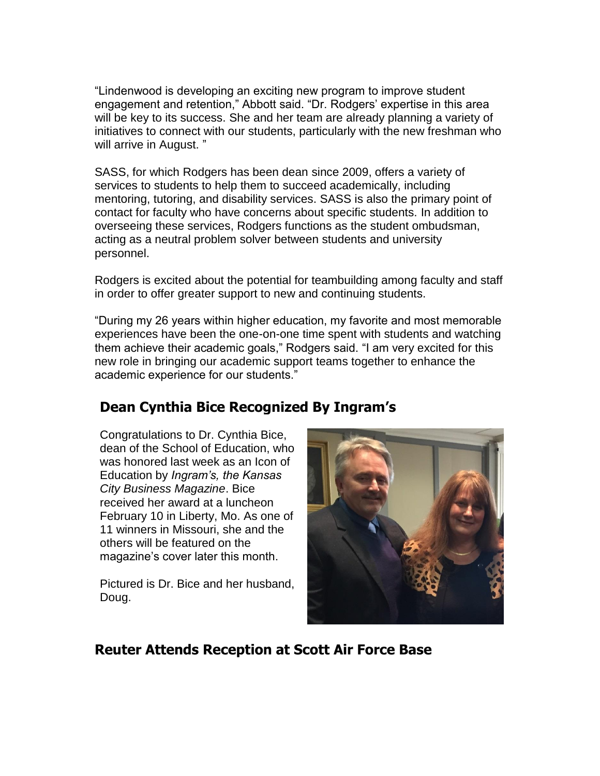"Lindenwood is developing an exciting new program to improve student engagement and retention," Abbott said. "Dr. Rodgers' expertise in this area will be key to its success. She and her team are already planning a variety of initiatives to connect with our students, particularly with the new freshman who will arrive in August. "

SASS, for which Rodgers has been dean since 2009, offers a variety of services to students to help them to succeed academically, including mentoring, tutoring, and disability services. SASS is also the primary point of contact for faculty who have concerns about specific students. In addition to overseeing these services, Rodgers functions as the student ombudsman, acting as a neutral problem solver between students and university personnel.

Rodgers is excited about the potential for teambuilding among faculty and staff in order to offer greater support to new and continuing students.

"During my 26 years within higher education, my favorite and most memorable experiences have been the one-on-one time spent with students and watching them achieve their academic goals," Rodgers said. "I am very excited for this new role in bringing our academic support teams together to enhance the academic experience for our students."

## **Dean Cynthia Bice Recognized By Ingram's**

Congratulations to Dr. Cynthia Bice, dean of the School of Education, who was honored last week as an Icon of Education by *Ingram's, the Kansas City Business Magazine*. Bice received her award at a luncheon February 10 in Liberty, Mo. As one of 11 winners in Missouri, she and the others will be featured on the magazine's cover later this month.

Pictured is Dr. Bice and her husband, Doug.



## **Reuter Attends Reception at Scott Air Force Base**